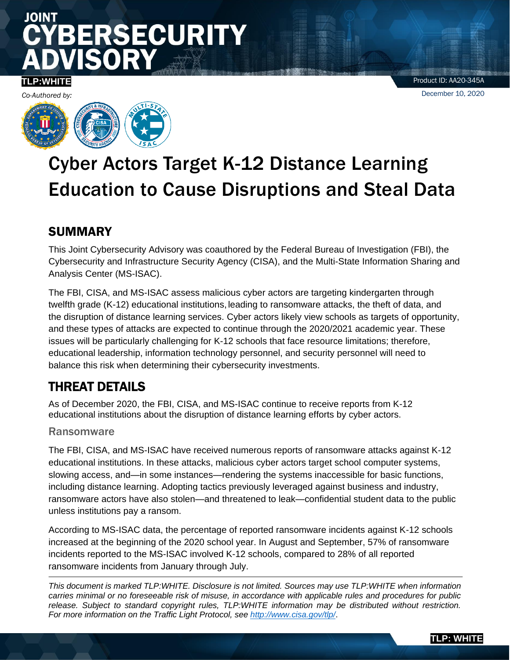# JOINT **RSECURITY**

# **TLP:WHITE**

Product ID: AA20-345A December 10, 2020



# Cyber Actors Target K-12 Distance Learning Education to Cause Disruptions and Steal Data

# SUMMARY

This Joint Cybersecurity Advisory was coauthored by the Federal Bureau of Investigation (FBI), the Cybersecurity and Infrastructure Security Agency (CISA), and the Multi-State Information Sharing and Analysis Center (MS-ISAC).

The FBI, CISA, and MS-ISAC assess malicious cyber actors are targeting kindergarten through twelfth grade (K-12) educational institutions, leading to ransomware attacks, the theft of data, and the disruption of distance learning services. Cyber actors likely view schools as targets of opportunity, and these types of attacks are expected to continue through the 2020/2021 academic year. These issues will be particularly challenging for K-12 schools that face resource limitations; therefore, educational leadership, information technology personnel, and security personnel will need to balance this risk when determining their cybersecurity investments.

# THREAT DETAILS

As of December 2020, the FBI, CISA, and MS-ISAC continue to receive reports from K-12 educational institutions about the disruption of distance learning efforts by cyber actors.

# Ransomware

The FBI, CISA, and MS-ISAC have received numerous reports of ransomware attacks against K-12 educational institutions. In these attacks, malicious cyber actors target school computer systems, slowing access, and—in some instances—rendering the systems inaccessible for basic functions, including distance learning. Adopting tactics previously leveraged against business and industry, ransomware actors have also stolen—and threatened to leak—confidential student data to the public unless institutions pay a ransom.

According to MS-ISAC data, the percentage of reported ransomware incidents against K-12 schools increased at the beginning of the 2020 school year. In August and September, 57% of ransomware incidents reported to the MS-ISAC involved K-12 schools, compared to 28% of all reported ransomware incidents from January through July.

*This document is marked TLP:WHITE. Disclosure is not limited. Sources may use TLP:WHITE when information carries minimal or no foreseeable risk of misuse, in accordance with applicable rules and procedures for public release. Subject to standard copyright rules, TLP:WHITE information may be distributed without restriction. For more information on the Traffic Light Protocol, see<http://www.cisa.gov/tlp/>*.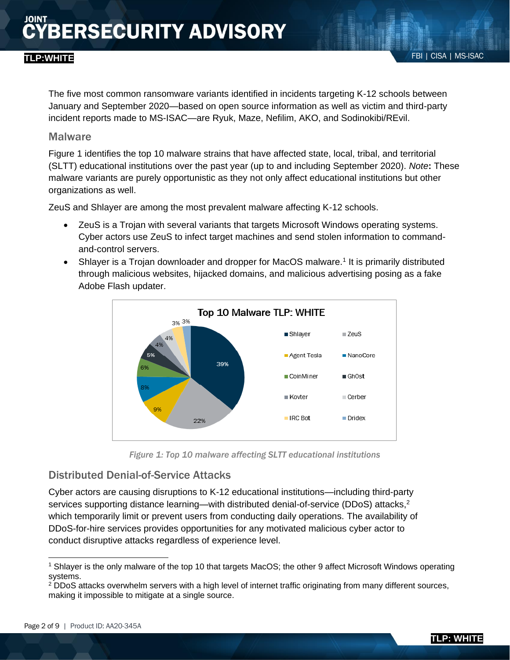The five most common ransomware variants identified in incidents targeting K-12 schools between January and September 2020—based on open source information as well as victim and third-party incident reports made to MS-ISAC—are Ryuk, Maze, Nefilim, AKO, and Sodinokibi/REvil.

### **Malware**

Figure 1 identifies the top 10 malware strains that have affected state, local, tribal, and territorial (SLTT) educational institutions over the past year (up to and including September 2020). *Note***:** These malware variants are purely opportunistic as they not only affect educational institutions but other organizations as well.

ZeuS and Shlayer are among the most prevalent malware affecting K-12 schools.

- ZeuS is a Trojan with several variants that targets Microsoft Windows operating systems. Cyber actors use ZeuS to infect target machines and send stolen information to commandand-control servers.
- Shlayer is a Trojan downloader and dropper for MacOS malware.<sup>1</sup> It is primarily distributed through malicious websites, hijacked domains, and malicious advertising posing as a fake Adobe Flash updater.



*Figure 1: Top 10 malware affecting SLTT educational institutions*

# Distributed Denial-of-Service Attacks

Cyber actors are causing disruptions to K-12 educational institutions—including third-party services supporting distance learning—with distributed denial-of-service (DDoS) attacks,<sup>2</sup> which temporarily limit or prevent users from conducting daily operations. The availability of DDoS-for-hire services provides opportunities for any motivated malicious cyber actor to conduct disruptive attacks regardless of experience level.

<sup>1</sup> Shlayer is the only malware of the top 10 that targets MacOS; the other 9 affect Microsoft Windows operating systems.

<sup>2</sup> DDoS attacks overwhelm servers with a high level of internet traffic originating from many different sources, making it impossible to mitigate at a single source.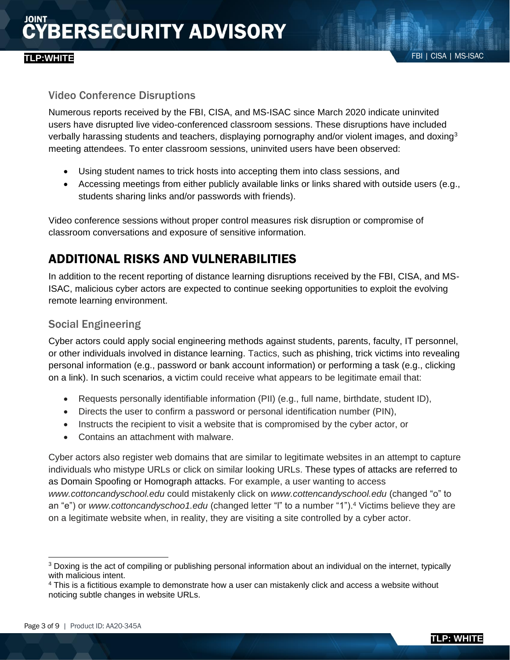## Video Conference Disruptions

Numerous reports received by the FBI, CISA, and MS-ISAC since March 2020 indicate uninvited users have disrupted live video-conferenced classroom sessions. These disruptions have included verbally harassing students and teachers, displaying pornography and/or violent images, and doxing<sup>3</sup> meeting attendees. To enter classroom sessions, uninvited users have been observed:

- Using student names to trick hosts into accepting them into class sessions, and
- Accessing meetings from either publicly available links or links shared with outside users (e.g., students sharing links and/or passwords with friends).

Video conference sessions without proper control measures risk disruption or compromise of classroom conversations and exposure of sensitive information.

# ADDITIONAL RISKS AND VULNERABILITIES

In addition to the recent reporting of distance learning disruptions received by the FBI, CISA, and MS-ISAC, malicious cyber actors are expected to continue seeking opportunities to exploit the evolving remote learning environment.

# Social Engineering

Cyber actors could apply social engineering methods against students, parents, faculty, IT personnel, or other individuals involved in distance learning. Tactics, such as phishing, trick victims into revealing personal information (e.g., password or bank account information) or performing a task (e.g., clicking on a link). In such scenarios, a victim could receive what appears to be legitimate email that:

- Requests personally identifiable information (PII) (e.g., full name, birthdate, student ID),
- Directs the user to confirm a password or personal identification number (PIN),
- Instructs the recipient to visit a website that is compromised by the cyber actor, or
- Contains an attachment with malware.

Cyber actors also register web domains that are similar to legitimate websites in an attempt to capture individuals who mistype URLs or click on similar looking URLs. These types of attacks are referred to as Domain Spoofing or Homograph attacks. For example, a user wanting to access *www.cottoncandyschool.edu* could mistakenly click on *www.cottencandyschool.edu* (changed "o" to an "e") or *www.cottoncandyschoo1.edu* (changed letter "l" to a number "1").<sup>4</sup> Victims believe they are on a legitimate website when, in reality, they are visiting a site controlled by a cyber actor.

<sup>&</sup>lt;sup>3</sup> Doxing is the act of compiling or publishing personal information about an individual on the internet, typically with malicious intent.

<sup>&</sup>lt;sup>4</sup> This is a fictitious example to demonstrate how a user can mistakenly click and access a website without noticing subtle changes in website URLs.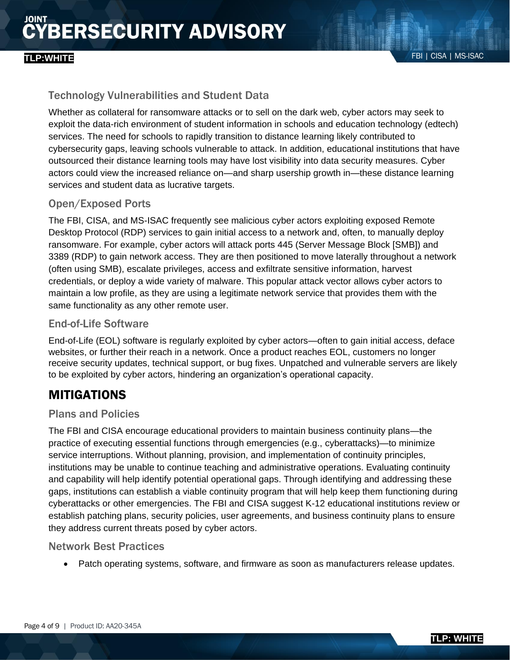# **BERSECURITY ADVISORY**

# Technology Vulnerabilities and Student Data

Whether as collateral for ransomware attacks or to sell on the dark web, cyber actors may seek to exploit the data-rich environment of student information in schools and education technology (edtech) services. The need for schools to rapidly transition to distance learning likely contributed to cybersecurity gaps, leaving schools vulnerable to attack. In addition, educational institutions that have outsourced their distance learning tools may have lost visibility into data security measures. Cyber actors could view the increased reliance on—and sharp usership growth in—these distance learning services and student data as lucrative targets.

# Open/Exposed Ports

The FBI, CISA, and MS-ISAC frequently see malicious cyber actors exploiting exposed Remote Desktop Protocol (RDP) services to gain initial access to a network and, often, to manually deploy ransomware. For example, cyber actors will attack ports 445 (Server Message Block [SMB]) and 3389 (RDP) to gain network access. They are then positioned to move laterally throughout a network (often using SMB), escalate privileges, access and exfiltrate sensitive information, harvest credentials, or deploy a wide variety of malware. This popular attack vector allows cyber actors to maintain a low profile, as they are using a legitimate network service that provides them with the same functionality as any other remote user.

# End-of-Life Software

End-of-Life (EOL) software is regularly exploited by cyber actors—often to gain initial access, deface websites, or further their reach in a network. Once a product reaches EOL, customers no longer receive security updates, technical support, or bug fixes. Unpatched and vulnerable servers are likely to be exploited by cyber actors, hindering an organization's operational capacity.

# MITIGATIONS

### Plans and Policies

The FBI and CISA encourage educational providers to maintain business continuity plans—the practice of executing essential functions through emergencies (e.g., cyberattacks)—to minimize service interruptions. Without planning, provision, and implementation of continuity principles, institutions may be unable to continue teaching and administrative operations. Evaluating continuity and capability will help identify potential operational gaps. Through identifying and addressing these gaps, institutions can establish a viable continuity program that will help keep them functioning during cyberattacks or other emergencies. The FBI and CISA suggest K-12 educational institutions review or establish patching plans, security policies, user agreements, and business continuity plans to ensure they address current threats posed by cyber actors.

### Network Best Practices

• Patch operating systems, software, and firmware as soon as manufacturers release updates.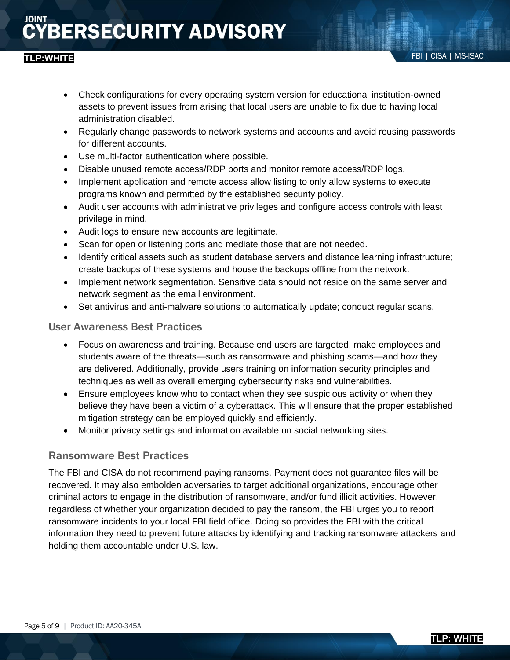# **BERSECURITY ADVISORY**

- Regularly change passwords to network systems and accounts and avoid reusing passwords for different accounts.
- Use multi-factor authentication where possible.
- Disable unused remote access/RDP ports and monitor remote access/RDP logs.
- Implement application and remote access allow listing to only allow systems to execute programs known and permitted by the established security policy.
- Audit user accounts with administrative privileges and configure access controls with least privilege in mind.
- Audit logs to ensure new accounts are legitimate.
- Scan for open or listening ports and mediate those that are not needed.
- Identify critical assets such as student database servers and distance learning infrastructure; create backups of these systems and house the backups offline from the network.
- Implement network segmentation. Sensitive data should not reside on the same server and network segment as the email environment.
- Set antivirus and anti-malware solutions to automatically update; conduct regular scans.

# User Awareness Best Practices

- Focus on awareness and training. Because end users are targeted, make employees and students aware of the threats—such as ransomware and phishing scams—and how they are delivered. Additionally, provide users training on information security principles and techniques as well as overall emerging cybersecurity risks and vulnerabilities.
- Ensure employees know who to contact when they see suspicious activity or when they believe they have been a victim of a cyberattack. This will ensure that the proper established mitigation strategy can be employed quickly and efficiently.
- Monitor privacy settings and information available on social networking sites.

# Ransomware Best Practices

The FBI and CISA do not recommend paying ransoms. Payment does not guarantee files will be recovered. It may also embolden adversaries to target additional organizations, encourage other criminal actors to engage in the distribution of ransomware, and/or fund illicit activities. However, regardless of whether your organization decided to pay the ransom, the FBI urges you to report ransomware incidents to your local FBI field office. Doing so provides the FBI with the critical information they need to prevent future attacks by identifying and tracking ransomware attackers and holding them accountable under U.S. law.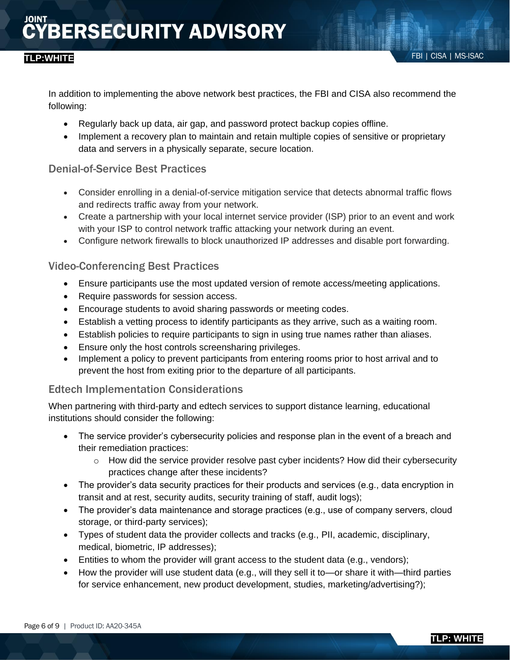In addition to implementing the above network best practices, the FBI and CISA also recommend the following:

- Regularly back up data, air gap, and password protect backup copies offline.
- Implement a recovery plan to maintain and retain multiple copies of sensitive or proprietary data and servers in a physically separate, secure location.

## Denial-of-Service Best Practices

- Consider enrolling in a denial-of-service mitigation service that detects abnormal traffic flows and redirects traffic away from your network.
- Create a partnership with your local internet service provider (ISP) prior to an event and work with your ISP to control network traffic attacking your network during an event.
- Configure network firewalls to block unauthorized IP addresses and disable port forwarding.

## Video-Conferencing Best Practices

- Ensure participants use the most updated version of remote access/meeting applications.
- Require passwords for session access.
- Encourage students to avoid sharing passwords or meeting codes.
- Establish a vetting process to identify participants as they arrive, such as a waiting room.
- Establish policies to require participants to sign in using true names rather than aliases.
- Ensure only the host controls screensharing privileges.
- Implement a policy to prevent participants from entering rooms prior to host arrival and to prevent the host from exiting prior to the departure of all participants.

### Edtech Implementation Considerations

When partnering with third-party and edtech services to support distance learning, educational institutions should consider the following:

- The service provider's cybersecurity policies and response plan in the event of a breach and their remediation practices:
	- $\circ$  How did the service provider resolve past cyber incidents? How did their cybersecurity practices change after these incidents?
- The provider's data security practices for their products and services (e.g., data encryption in transit and at rest, security audits, security training of staff, audit logs);
- The provider's data maintenance and storage practices (e.g., use of company servers, cloud storage, or third-party services);
- Types of student data the provider collects and tracks (e.g., PII, academic, disciplinary, medical, biometric, IP addresses);
- Entities to whom the provider will grant access to the student data (e.g., vendors);
- How the provider will use student data (e.g., will they sell it to—or share it with—third parties for service enhancement, new product development, studies, marketing/advertising?);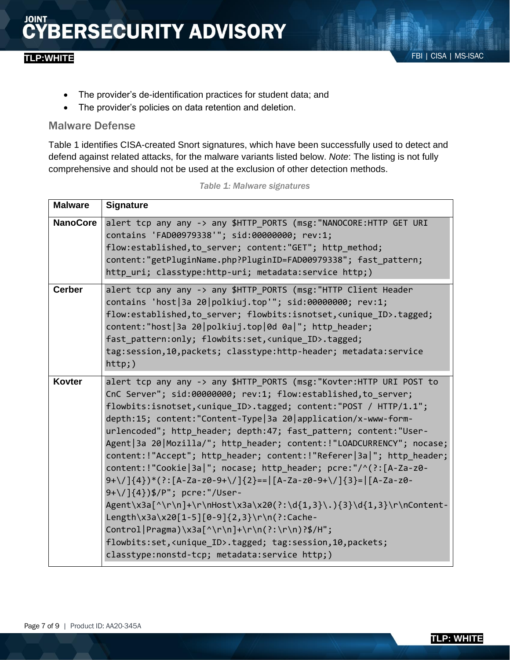- The provider's de-identification practices for student data; and
- The provider's policies on data retention and deletion.

### Malware Defense

Table 1 identifies CISA-created Snort signatures, which have been successfully used to detect and defend against related attacks, for the malware variants listed below. *Note*: The listing is not fully comprehensive and should not be used at the exclusion of other detection methods.

| <b>Malware</b>  | <b>Signature</b>                                                                                                                                                                                                                                                                                                                                                                                                                                                                                                                                                                                                                                                                                                                                                                                                                                                                                                                                                                                                                 |
|-----------------|----------------------------------------------------------------------------------------------------------------------------------------------------------------------------------------------------------------------------------------------------------------------------------------------------------------------------------------------------------------------------------------------------------------------------------------------------------------------------------------------------------------------------------------------------------------------------------------------------------------------------------------------------------------------------------------------------------------------------------------------------------------------------------------------------------------------------------------------------------------------------------------------------------------------------------------------------------------------------------------------------------------------------------|
| <b>NanoCore</b> | alert tcp any any -> any \$HTTP_PORTS (msg: "NANOCORE:HTTP GET URI<br>contains 'FAD00979338'"; sid:00000000; rev:1;<br>flow:established, to_server; content:"GET"; http_method;<br>content:"getPluginName.php?PluginID=FAD00979338"; fast_pattern;<br>http_uri; classtype:http-uri; metadata:service http;)                                                                                                                                                                                                                                                                                                                                                                                                                                                                                                                                                                                                                                                                                                                      |
| <b>Cerber</b>   | alert tcp any any -> any \$HTTP_PORTS (msg: "HTTP Client Header<br>contains 'host   3a 20   polkiuj.top'"; sid:00000000; rev:1;<br>flow:established, to server; flowbits:isnotset, <unique id="">.tagged;<br/>content:"host 3a 20 polkiuj.top 0d 0a "; http_header;<br/>fast_pattern:only; flowbits:set,<unique_id>.tagged;<br/>tag:session,10,packets; classtype:http-header; metadata:service<br/><math>http;</math>)</unique_id></unique>                                                                                                                                                                                                                                                                                                                                                                                                                                                                                                                                                                                     |
| <b>Kovter</b>   | alert tcp any any -> any \$HTTP_PORTS (msg: "Kovter:HTTP URI POST to<br>CnC Server"; sid:00000000; rev:1; flow:established, to server;<br>flowbits:isnotset, <unique id="">.tagged; content:"POST / HTTP/1.1";<br/>depth:15; content: "Content-Type   3a 20   application/x-www-form-<br/>urlencoded"; http header; depth:47; fast pattern; content: "User-<br/>Agent   3a 20   Mozilla/"; http header; content: ! "LOADCURRENCY"; nocase;<br/>content:!"Accept"; http_header; content:!"Referer 3a "; http_header;<br/>content: ! "Cookie   3a   "; nocase; http header; pcre: "/^(?: [A-Za-z0-<br/><math>9+\)/</math>]{4})*(?:[A-Za-z0-9+\/]{2}== [A-Za-z0-9+\/]{3}= [A-Za-z0-<br/>9+\/]{4})\$/P"; pcre:"/User-<br/>Agent\x3a[^\r\n]+\r\nHost\x3a\x20(?:\d{1,3}\.){3}\d{1,3}\r\nContent-<br/>Length\x3a\x20[1-5][0-9]{2,3}\r\n(?:Cache-<br/>Control Pragma)\x3a[^\r\n]+\r\n(?:\r\n)?\$/H";<br/>flowbits:set,<unique_id>.tagged; tag:session,10,packets;<br/>classtype:nonstd-tcp; metadata:service http;)</unique_id></unique> |

*Table 1: Malware signatures*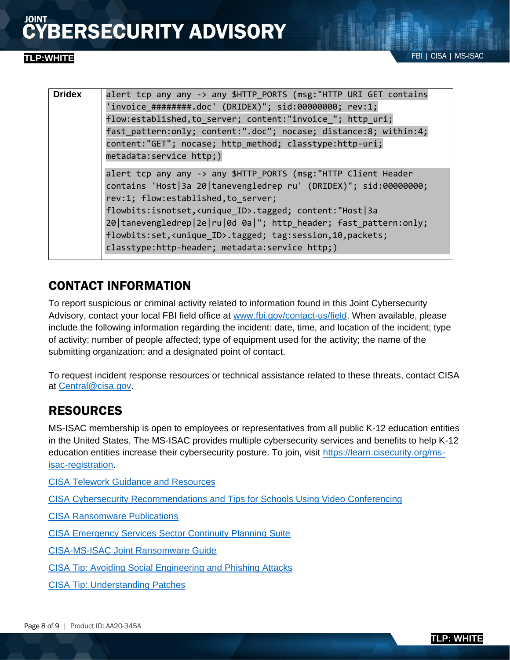| <b>Dridex</b> | alert tcp any any -> any \$HTTP PORTS (msg: "HTTP URI GET contains<br>'invoice #########.doc' (DRIDEX)"; sid:00000000; rev:1;<br>flow:established, to server; content:"invoice_"; http_uri;<br>fast_pattern:only; content:".doc"; nocase; distance:8; within:4;<br>content:"GET"; nocase; http_method; classtype:http-uri;<br>metadata: service http;)                                                                                                        |
|---------------|---------------------------------------------------------------------------------------------------------------------------------------------------------------------------------------------------------------------------------------------------------------------------------------------------------------------------------------------------------------------------------------------------------------------------------------------------------------|
|               | alert tcp any any -> any \$HTTP_PORTS (msg: "HTTP Client Header<br>contains 'Host 3a 20 tanevengledrep ru' (DRIDEX)"; sid:00000000;<br>rev:1; flow:established, to server;<br>flowbits:isnotset, <unique_id>.tagged; content:"Host 3a<br/>20   tanevengledrep   2e   ru   0d 0a   "; http_header; fast_pattern: only;<br/>flowbits:set,<unique_id>.tagged; tag:session,10,packets;<br/>classtype:http-header; metadata:service http;)</unique_id></unique_id> |
|               |                                                                                                                                                                                                                                                                                                                                                                                                                                                               |

# CONTACT INFORMATION

To report suspicious or criminal activity related to information found in this Joint Cybersecurity Advisory, contact your local FBI field office at [www.fbi.gov/contact-us/field.](http://www.fbi.gov/contact-us/field) When available, please include the following information regarding the incident: date, time, and location of the incident; type of activity; number of people affected; type of equipment used for the activity; the name of the submitting organization; and a designated point of contact.

To request incident response resources or technical assistance related to these threats, contact CISA at [Central@cisa.gov.](https://us-cert.cisa.gov/ncas/alerts/Central@cisa.dhs.gov)

# RESOURCES

MS-ISAC membership is open to employees or representatives from all public K-12 education entities in the United States. The MS-ISAC provides multiple cybersecurity services and benefits to help K-12 education entities increase their cybersecurity posture. To join, visit [https://learn.cisecurity.org/ms](https://learn.cisecurity.org/ms-isac-registration)[isac-registration.](https://learn.cisecurity.org/ms-isac-registration)

[CISA Telework Guidance and Resources](https://www.cisa.gov/telework)

[CISA Cybersecurity Recommendations and Tips for Schools Using Video Conferencing](https://www.cisa.gov/publication/secure-video-conferencing-schools)

[CISA Ransomware Publications](https://us-cert.cisa.gov/Ransomware)

[CISA Emergency Services Sector Continuity Planning Suite](https://www.cisa.gov/emergency-services-sector-continuity-planning-suite)

[CISA-MS-ISAC Joint Ransomware Guide](https://www.cisa.gov/publication/ransomware-guide)

[CISA Tip: Avoiding Social Engineering and Phishing Attacks](https://us-cert.cisa.gov/ncas/tips/ST04-014)

[CISA Tip: Understanding Patches](https://www.us-cert.gov/ncas/tips/ST04-006)